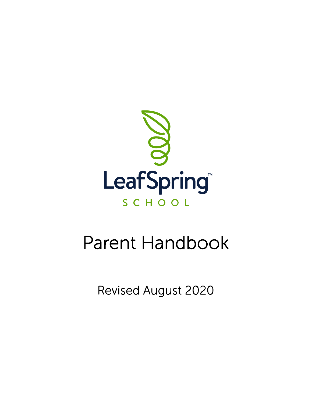

# Parent Handbook

Revised August 2020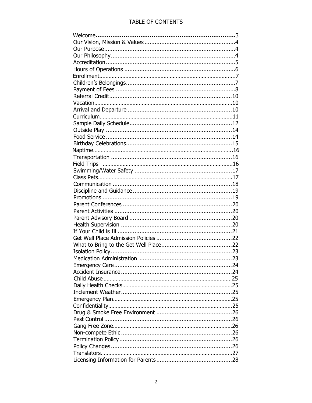### TABLE OF CONTENTS

| <b>Field Trips</b> |  |
|--------------------|--|
|                    |  |
|                    |  |
|                    |  |
|                    |  |
|                    |  |
|                    |  |
|                    |  |
|                    |  |
|                    |  |
|                    |  |
|                    |  |
|                    |  |
|                    |  |
|                    |  |
|                    |  |
|                    |  |
|                    |  |
|                    |  |
|                    |  |
|                    |  |
|                    |  |
|                    |  |
|                    |  |
|                    |  |
|                    |  |
|                    |  |
|                    |  |
|                    |  |
|                    |  |
|                    |  |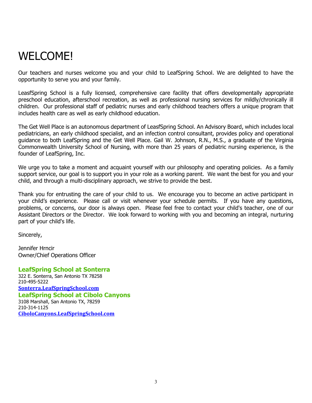## WELCOME!

Our teachers and nurses welcome you and your child to LeafSpring School. We are delighted to have the opportunity to serve you and your family.

LeasfSpring School is a fully licensed, comprehensive care facility that offers developmentally appropriate preschool education, afterschool recreation, as well as professional nursing services for mildly/chronically ill children. Our professional staff of pediatric nurses and early childhood teachers offers a unique program that includes health care as well as early childhood education.

The Get Well Place is an autonomous department of LeasfSpring School. An Advisory Board, which includes local pediatricians, an early childhood specialist, and an infection control consultant, provides policy and operational guidance to both LeafSpring and the Get Well Place. Gail W. Johnson, R.N., M.S., a graduate of the Virginia Commonwealth University School of Nursing, with more than 25 years of pediatric nursing experience, is the founder of LeafSpring, Inc.

We urge you to take a moment and acquaint yourself with our philosophy and operating policies. As a family support service, our goal is to support you in your role as a working parent. We want the best for you and your child, and through a multi-disciplinary approach, we strive to provide the best.

Thank you for entrusting the care of your child to us. We encourage you to become an active participant in your child's experience. Please call or visit whenever your schedule permits. If you have any questions, problems, or concerns, our door is always open. Please feel free to contact your child's teacher, one of our Assistant Directors or the Director. We look forward to working with you and becoming an integral, nurturing part of your child's life.

Sincerely,

Jennifer Hrncir Owner/Chief Operations Officer

**LeafSpring School at Sonterra** 322 E. Sonterra, San Antonio TX 78258 210-495-5222 **[Sonterra.LeafSpringSchool.com](https://outlook.office.com/mail/options/mail/sonterra.leafspringschool.com/) LeafSpring School at Cibolo Canyons** 3108 Marshall, San Antonio TX, 78259 210-314-1125 **[CiboloCanyons.LeafSpringSchool.com](https://outlook.office.com/mail/options/mail/cibolocanyons.leafspringschool.com/)**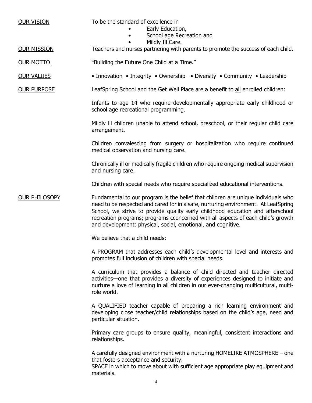OUR VISION To be the standard of excellence in

- Early Education,
- School age Recreation and
	- Mildly Ill Care.

OUR MISSION Teachers and nurses partnering with parents to promote the success of each child.

OUR MOTTO "Building the Future One Child at a Time."

OUR VALUES • Innovation • Integrity • Ownership • Diversity • Community • Leadership

OUR PURPOSE LeafSpring School and the Get Well Place are a benefit to all enrolled children:

Infants to age 14 who require developmentally appropriate early childhood or school age recreational programming.

Mildly ill children unable to attend school, preschool, or their regular child care arrangement.

Children convalescing from surgery or hospitalization who require continued medical observation and nursing care.

Chronically ill or medically fragile children who require ongoing medical supervision and nursing care.

Children with special needs who require specialized educational interventions.

OUR PHILOSOPY Fundamental to our program is the belief that children are unique individuals who need to be respected and cared for in a safe, nurturing environment. At LeafSpring School, we strive to provide quality early childhood education and afterschool recreation programs; programs cconcerned with all aspects of each child's growth and development: physical, social, emotional, and cognitive.

We believe that a child needs:

A PROGRAM that addresses each child's developmental level and interests and promotes full inclusion of children with special needs.

A curriculum that provides a balance of child directed and teacher directed activities—one that provides a diversity of experiences designed to initiate and nurture a love of learning in all children in our ever-changing multicultural, multirole world.

A QUALIFIED teacher capable of preparing a rich learning environment and developing close teacher/child relationships based on the child's age, need and particular situation.

Primary care groups to ensure quality, meaningful, consistent interactions and relationships.

A carefully designed environment with a nurturing HOMELIKE ATMOSPHERE – one that fosters acceptance and security.

SPACE in which to move about with sufficient age appropriate play equipment and materials.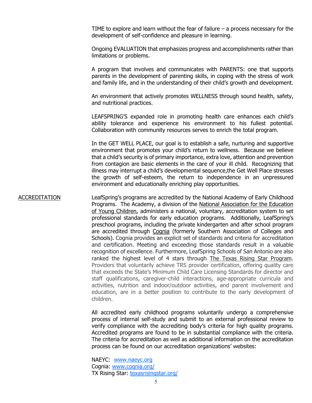TIME to explore and learn without the fear of failure  $-$  a process necessary for the development of self-confidence and pleasure in learning.

Ongoing EVALUATION that emphasizes progress and accomplishments rather than limitations or problems.

A program that involves and communicates with PARENTS: one that supports parents in the development of parenting skills, in coping with the stress of work and family life, and in the understanding of their child's growth and development.

An environment that actively promotes WELLNESS through sound health, safety, and nutritional practices.

LEAFSPRING'S expanded role in promoting health care enhances each child's ability tolerance and experience his environment to his fullest potential. Collaboration with community resources serves to enrich the total program.

In the GET WELL PLACE, our goal is to establish a safe, nurturing and supportive environment that promotes your child's return to wellness. Because we believe that a child's security is of primary importance, extra love, attention and prevention from contagion are basic elements in the care of your ill child. Recognizing that illness may interrupt a child's developmental sequence,the Get Well Place stresses the growth of self-esteem, the return to independence in an unpressured environment and educationally enriching play opportunities.

### ACCREDITATION LeafSpring's programs are accredited by the National Academy of Early Childhood Programs. The Academy, a division of the National Association for the Education of Young Children, administers a national, voluntary, accreditation system to set professional standards for early education programs. Additionally, LeafSpring's preschool programs, including the private kindergarten and after school program are accredited through Cognia (formerly Southern Association of Colleges and Schools). Cognia provides an explicit set of standards and criteria for accreditation and certification. Meeting and exceeding those standards result in a valuable recognition of excellence. Furthermore, LeafSpring Schools of San Antonio are also ranked the highest level of 4 stars through The Texas Rising Star Program. Providers that voluntarily achieve TRS provider certification, offering quality care that exceeds the State's Minimum Child Care Licensing Standards for director and staff qualifications, caregiver-child interactions, age-appropriate curricula and activities, nutrition and indoor/outdoor activities, and parent involvement and education, are in a better position to contribute to the early development of children.

All accredited early childhood programs voluntarily undergo a comprehensive process of internal self-study and submit to an external professional review to verify compliance with the accrediting body's criteria for high quality programs. Accredited programs are found to be in substantial compliance with the criteria. The criteria for accreditation as well as additional information on the accreditation process can be found on our accreditation organizations' websites:

NAEYC: [www.naeyc.org](http://www.naeyc.org/) Cognia: [www.cognia.org/](https://www.cognia.org/) TX Rising Star: [texasrisingstar.org/](https://texasrisingstar.org/)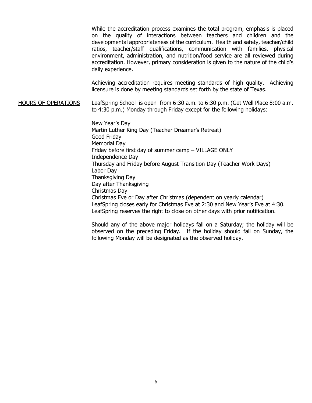While the accreditation process examines the total program, emphasis is placed on the quality of interactions between teachers and children and the developmental appropriateness of the curriculum. Health and safety, teacher/child ratios, teacher/staff qualifications, communication with families, physical environment, administration, and nutrition/food service are all reviewed during accreditation. However, primary consideration is given to the nature of the child's daily experience.

Achieving accreditation requires meeting standards of high quality. Achieving licensure is done by meeting standards set forth by the state of Texas.

HOURS OF OPERATIONS LeafSpring School is open from 6:30 a.m. to 6:30 p.m. (Get Well Place 8:00 a.m. to 4:30 p.m.) Monday through Friday except for the following holidays:

> New Year's Day Martin Luther King Day (Teacher Dreamer's Retreat) Good Friday Memorial Day Friday before first day of summer camp – VILLAGE ONLY Independence Day Thursday and Friday before August Transition Day (Teacher Work Days) Labor Day Thanksgiving Day Day after Thanksgiving Christmas Day Christmas Eve or Day after Christmas (dependent on yearly calendar) LeafSpring closes early for Christmas Eve at 2:30 and New Year's Eve at 4:30. LeafSpring reserves the right to close on other days with prior notification.

Should any of the above major holidays fall on a Saturday; the holiday will be observed on the preceding Friday. If the holiday should fall on Sunday, the following Monday will be designated as the observed holiday.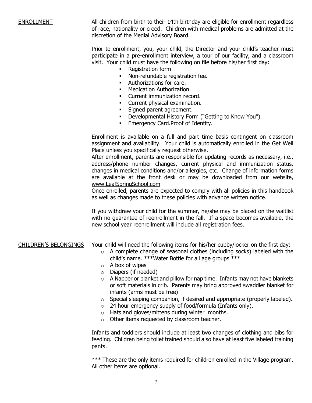ENROLLMENT All children from birth to their 14th birthday are eligible for enrollment regardless of race, nationality or creed. Children with medical problems are admitted at the discretion of the Medial Advisory Board.

> Prior to enrollment, you, your child, the Director and your child's teacher must participate in a pre-enrollment interview, a tour of our facility, and a classroom visit. Your child must have the following on file before his/her first day:

- Registration form
- **Non-refundable registration fee.**
- Authorizations for care.<br>• Medication Authorization
- Medication Authorization.
- **Current immunization record.**
- **Current physical examination.**
- **Signed parent agreement.**
- **-** Developmental History Form ("Getting to Know You").
- **Emergency Card.Proof of Identity.**

Enrollment is available on a full and part time basis contingent on classroom assignment and availability. Your child is automatically enrolled in the Get Well Place unless you specifically request otherwise.

After enrollment, parents are responsible for updating records as necessary, i.e., address/phone number changes, current physical and immunization status, changes in medical conditions and/or allergies, etc. Change of information forms are available at the front desk or may be downloaded from our website, www.LeafSpringSchool.com

Once enrolled, parents are expected to comply with all policies in this handbook as well as changes made to these policies with advance written notice.

If you withdraw your child for the summer, he/she may be placed on the waitlist with no guarantee of reenrollment in the fall. If a space becomes available, the new school year reenrollment will include all registration fees.

### CHILDREN'S BELONGINGS Your child will need the following items for his/her cubby/locker on the first day:

- o A complete change of seasonal clothes (including socks) labeled with the child's name. \*\*\*Water Bottle for all age groups \*\*\*
- $\circ$  A box of wipes
- o Diapers (if needed)
- $\circ$  A Napper or blanket and pillow for nap time. Infants may not have blankets or soft materials in crib. Parents may bring approved swaddler blanket for infants (arms must be free)
- $\circ$  Special sleeping companion, if desired and appropriate (properly labeled).
- $\circ$  24 hour emergency supply of food/formula (Infants only).
- o Hats and gloves/mittens during winter months.
- o Other items requested by classroom teacher.

Infants and toddlers should include at least two changes of clothing and bibs for feeding. Children being toilet trained should also have at least five labeled training pants.

\*\*\* These are the only items required for children enrolled in the Village program. All other items are optional.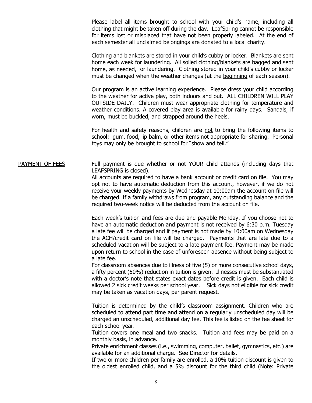Please label all items brought to school with your child's name, including all clothing that might be taken off during the day. LeafSpring cannot be responsible for items lost or misplaced that have not been properly labeled. At the end of each semester all unclaimed belongings are donated to a local charity.

Clothing and blankets are stored in your child's cubby or locker. Blankets are sent home each week for laundering. All soiled clothing/blankets are bagged and sent home, as needed, for laundering. Clothing stored in your child's cubby or locker must be changed when the weather changes (at the beginning of each season).

Our program is an active learning experience. Please dress your child according to the weather for active play, both indoors and out. ALL CHILDREN WILL PLAY OUTSIDE DAILY. Children must wear appropriate clothing for temperature and weather conditions. A covered play area is available for rainy days. Sandals, if worn, must be buckled, and strapped around the heels.

For health and safety reasons, children are not to bring the following items to school: gum, food, lip balm, or other items not appropriate for sharing. Personal toys may only be brought to school for "show and tell."

#### PAYMENT OF FEES Full payment is due whether or not YOUR child attends (including days that LEAFSPRING is closed).

All accounts are required to have a bank account or credit card on file. You may opt not to have automatic deduction from this account, however, if we do not receive your weekly payments by Wednesday at 10:00am the account on file will be charged. If a family withdraws from program, any outstanding balance and the required two-week notice will be deducted from the account on file.

Each week's tuition and fees are due and payable Monday. If you choose not to have an automatic deduction and payment is not received by 6:30 p.m. Tuesday a late fee will be charged and if payment is not made by 10:00am on Wednesday the ACH/credit card on file will be charged. Payments that are late due to a scheduled vacation will be subject to a late payment fee. Payment may be made upon return to school in the case of unforeseen absence without being subject to a late fee.

For classroom absences due to illness of five (5) or more consecutive school days, a fifty percent (50%) reduction in tuition is given. Illnesses must be substantiated with a doctor's note that states exact dates before credit is given. Each child is allowed 2 sick credit weeks per school year. Sick days not eligible for sick credit may be taken as vacation days, per parent request.

Tuition is determined by the child's classroom assignment. Children who are scheduled to attend part time and attend on a regularly unscheduled day will be charged an unscheduled, additional day fee. This fee is listed on the fee sheet for each school year.

Tuition covers one meal and two snacks. Tuition and fees may be paid on a monthly basis, in advance.

Private enrichment classes (i.e., swimming, computer, ballet, gymnastics, etc.) are available for an additional charge. See Director for details.

If two or more children per family are enrolled, a 10% tuition discount is given to the oldest enrolled child, and a 5% discount for the third child (Note: Private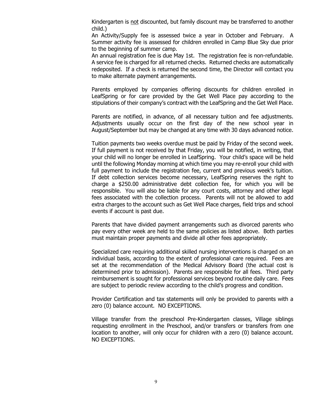Kindergarten is not discounted, but family discount may be transferred to another child.)

An Activity/Supply fee is assessed twice a year in October and February. A Summer activity fee is assessed for children enrolled in Camp Blue Sky due prior to the beginning of summer camp.

An annual registration fee is due May 1st. The registration fee is non-refundable. A service fee is charged for all returned checks. Returned checks are automatically redeposited. If a check is returned the second time, the Director will contact you to make alternate payment arrangements.

Parents employed by companies offering discounts for children enrolled in LeafSpring or for care provided by the Get Well Place pay according to the stipulations of their company's contract with the LeafSpring and the Get Well Place.

Parents are notified, in advance, of all necessary tuition and fee adjustments. Adjustments usually occur on the first day of the new school year in August/September but may be changed at any time with 30 days advanced notice.

Tuition payments two weeks overdue must be paid by Friday of the second week. If full payment is not received by that Friday, you will be notified, in writing, that your child will no longer be enrolled in LeafSpring. Your child's space will be held until the following Monday morning at which time you may re-enroll your child with full payment to include the registration fee, current and previous week's tuition. If debt collection services become necessary, LeafSpring reserves the right to charge a \$250.00 administrative debt collection fee, for which you will be responsible. You will also be liable for any court costs, attorney and other legal fees associated with the collection process. Parents will not be allowed to add extra charges to the account such as Get Well Place charges, field trips and school events if account is past due.

Parents that have divided payment arrangements such as divorced parents who pay every other week are held to the same policies as listed above. Both parties must maintain proper payments and divide all other fees appropriately.

Specialized care requiring additional skilled nursing interventions is charged on an individual basis, according to the extent of professional care required. Fees are set at the recommendation of the Medical Advisory Board (the actual cost is determined prior to admission). Parents are responsible for all fees. Third party reimbursement is sought for professional services beyond routine daily care. Fees are subject to periodic review according to the child's progress and condition.

Provider Certification and tax statements will only be provided to parents with a zero (0) balance account. NO EXCEPTIONS.

Village transfer from the preschool Pre-Kindergarten classes, Village siblings requesting enrollment in the Preschool, and/or transfers or transfers from one location to another, will only occur for children with a zero (0) balance account. NO EXCEPTIONS.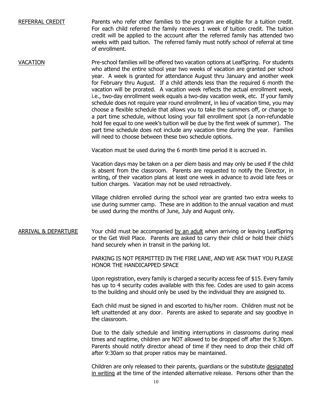REFERRAL CREDIT Parents who refer other families to the program are eligible for a tuition credit. For each child referred the family receives 1 week of tuition credit. The tuition credit will be applied to the account after the referred family has attended two weeks with paid tuition. The referred family must notify school of referral at time of enrollment.

VACATION Pre-school families will be offered two vacation options at LeafSpring. For students who attend the entire school year two weeks of vacation are granted per school year. A week is granted for attendance August thru January and another week for February thru August. If a child attends less than the required 6 month the vacation will be prorated. A vacation week reflects the actual enrollment week, i.e., two-day enrollment week equals a two-day vacation week, etc. If your family schedule does not require year round enrollment, in lieu of vacation time, you may choose a flexible schedule that allows you to take the summers off, or change to a part time schedule, without losing your fall enrollment spot (a non-refundable hold fee equal to one week's tuition will be due by the first week of summer). The part time schedule does not include any vacation time during the year. Families will need to choose between these two schedule options.

Vacation must be used during the 6 month time period it is accrued in.

Vacation days may be taken on a per diem basis and may only be used if the child is absent from the classroom. Parents are requested to notify the Director, in writing, of their vacation plans at least one week in advance to avoid late fees or tuition charges. Vacation may not be used retroactively.

Village children enrolled during the school year are granted two extra weeks to use during summer camp. These are in addition to the annual vacation and must be used during the months of June, July and August only.

### ARRIVAL & DEPARTURE Your child must be accompanied by an adult when arriving or leaving LeafSpring or the Get Well Place. Parents are asked to carry their child or hold their child's hand securely when in transit in the parking lot.

PARKING IS NOT PERMITTED IN THE FIRE LANE, AND WE ASK THAT YOU PLEASE HONOR THE HANDICAPPED SPACE

Upon registration, every family is charged a security access fee of \$15. Every family has up to 4 security codes available with this fee. Codes are used to gain access to the building and should only be used by the individual they are assigned to.

Each child must be signed in and escorted to his/her room. Children must not be left unattended at any door. Parents are asked to separate and say goodbye in the classroom.

Due to the daily schedule and limiting interruptions in classrooms during meal times and naptime, children are NOT allowed to be dropped off after the 9:30pm. Parents should notify director ahead of time if they need to drop their child off after 9:30am so that proper ratios may be maintained.

Children are only released to their parents, guardians or the substitute designated in writing at the time of the intended alternative release. Persons other than the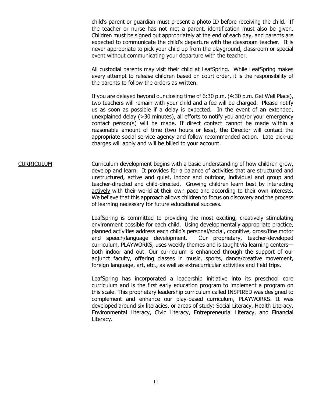child's parent or guardian must present a photo ID before receiving the child. If the teacher or nurse has not met a parent, identification must also be given. Children must be signed out appropriately at the end of each day, and parents are expected to communicate the child's departure with the classroom teacher. It is never appropriate to pick your child up from the playground, classroom or special event without communicating your departure with the teacher.

All custodial parents may visit their child at LeafSpring. While LeafSpring makes every attempt to release children based on court order, it is the responsibility of the parents to follow the orders as written.

If you are delayed beyond our closing time of 6:30 p.m. (4:30 p.m. Get Well Place), two teachers will remain with your child and a fee will be charged. Please notify us as soon as possible if a delay is expected. In the event of an extended, unexplained delay (>30 minutes), all efforts to notify you and/or your emergency contact person(s) will be made. If direct contact cannot be made within a reasonable amount of time (two hours or less), the Director will contact the appropriate social service agency and follow recommended action. Late pick-up charges will apply and will be billed to your account.

CURRICULUM Curriculum development begins with a basic understanding of how children grow, develop and learn. It provides for a balance of activities that are structured and unstructured, active and quiet, indoor and outdoor, individual and group and teacher-directed and child-directed. Growing children learn best by interacting actively with their world at their own pace and according to their own interests. We believe that this approach allows children to focus on discovery and the process of learning necessary for future educational success.

> LeafSpring is committed to providing the most exciting, creatively stimulating environment possible for each child. Using developmentally appropriate practice, planned activities address each child's personal/social, cognitive, gross/fine motor and speech/language development. Our proprietary, teacher-developed curriculum, PLAYWORKS, uses weekly themes and is taught via learning centers both indoor and out. Our curriculum is enhanced through the support of our adjunct faculty, offering classes in music, sports, dance/creative movement, foreign language, art, etc., as well as extracurricular activities and field trips.

> LeafSpring has incorporated a leadership initiative into its preschool core curriculum and is the first early education program to implement a program on this scale. This proprietary leadership curriculum called INSPIRED was designed to complement and enhance our play-based curriculum, [PLAYWORKS.](http://leafspringschool.com/curriculum/playworks/) It was developed around six literacies, or areas of study: Social Literacy, Health Literacy, Environmental Literacy, Civic Literacy, Entrepreneurial Literacy, and Financial Literacy.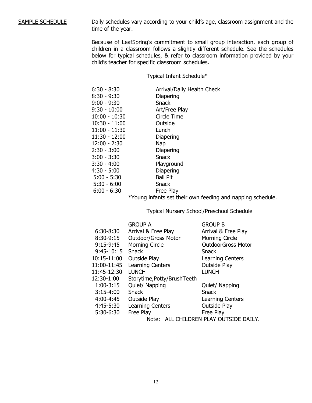#### SAMPLE SCHEDULE Daily schedules vary according to your child's age, classroom assignment and the time of the year.

Because of LeafSpring's commitment to small group interaction, each group of children in a classroom follows a slightly different schedule. See the schedules below for typical schedules, & refer to classroom information provided by your child's teacher for specific classroom schedules.

Typical Infant Schedule\*

| $6:30 - 8:30$   | Arrival/Daily Health Check |
|-----------------|----------------------------|
| $8:30 - 9:30$   | Diapering                  |
| $9:00 - 9:30$   | Snack                      |
| $9:30 - 10:00$  | Art/Free Play              |
| $10:00 - 10:30$ | Circle Time                |
| $10:30 - 11:00$ | Outside                    |
| $11:00 - 11:30$ | Lunch                      |
| $11:30 - 12:00$ | Diapering                  |
| $12:00 - 2:30$  | <b>Nap</b>                 |
| $2:30 - 3:00$   | <b>Diapering</b>           |
| $3:00 - 3:30$   | Snack                      |
| $3:30 - 4:00$   | Playground                 |
| $4:30 - 5:00$   | Diapering                  |
| $5:00 - 5:30$   | <b>Ball Pit</b>            |
| $5:30 - 6:00$   | Snack                      |
| $6:00 - 6:30$   | Free Play                  |

\*Young infants set their own feeding and napping schedule.

Typical Nursery School/Preschool Schedule

|                                           | <b>GROUP A</b>              | <b>GROUP B</b>            |
|-------------------------------------------|-----------------------------|---------------------------|
| 6:30-8:30                                 | Arrival & Free Play         | Arrival & Free Play       |
| 8:30-9:15                                 | <b>Outdoor/Gross Motor</b>  | <b>Morning Circle</b>     |
| $9:15-9:45$                               | <b>Morning Circle</b>       | <b>OutdoorGross Motor</b> |
| 9:45-10:15                                | Snack                       | <b>Snack</b>              |
| 10:15-11:00                               | <b>Outside Play</b>         | Learning Centers          |
| 11:00-11:45                               | Learning Centers            | <b>Outside Play</b>       |
| 11:45-12:30                               | <b>LUNCH</b>                | <b>LUNCH</b>              |
| 12:30-1:00                                | Storytime, Potty/BrushTeeth |                           |
| $1:00-3:15$                               | Quiet/ Napping              | Quiet/ Napping            |
| $3:15-4:00$                               | Snack                       | Snack                     |
| 4:00-4:45                                 | <b>Outside Play</b>         | Learning Centers          |
| 4:45-5:30                                 | Learning Centers            | Outside Play              |
| 5:30-6:30                                 | Free Play                   | Free Play                 |
| ALL CHILDREN PLAY OUTSIDE DAILY.<br>Note: |                             |                           |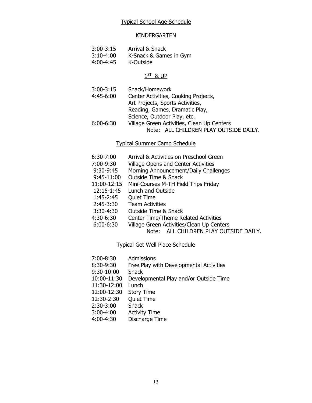#### KINDERGARTEN

- 3:00-3:15 Arrival & Snack
- 3:10-4:00 K-Snack & Games in Gym
	- 4:00-4:45 K-Outside

### $1<sup>ST</sup>$  & UP

- 3:00-3:15 Snack/Homework
- 4:45-6:00 Center Activities, Cooking Projects, Art Projects, Sports Activities, Reading, Games, Dramatic Play, Science, Outdoor Play, etc. 6:00-6:30 Village Green Activities, Clean Up Centers Note: ALL CHILDREN PLAY OUTSIDE DAILY.

### Typical Summer Camp Schedule

- 6:30-7:00 Arrival & Activities on Preschool Green
- 7:00-9:30 Village Opens and Center Activities
- 9:30-9:45 Morning Announcement/Daily Challenges
- 9:45-11:00 Outside Time & Snack
- 11:00-12:15 Mini-Courses M-TH Field Trips Friday
- 12:15-1:45 Lunch and Outside
- 1:45-2:45 Quiet Time
- **Team Activities**
- 3:30-4:30 Outside Time & Snack
- 4:30-6:30 Center Time/Theme Related Activities
- 6:00-6:30 Village Green Activities/Clean Up Centers
	- Note: ALL CHILDREN PLAY OUTSIDE DAILY.

Typical Get Well Place Schedule

- 7:00-8:30 Admissions
- 8:30-9:30 Free Play with Developmental Activities
- 9:30-10:00 Snack
- 10:00-11:30 Developmental Play and/or Outside Time
- 11:30-12:00 Lunch
- 12:00-12:30 Story Time
- 12:30-2:30 Quiet Time
- 2:30-3:00 Snack
- 
- 3:00-4:00 Activity Time Discharge Time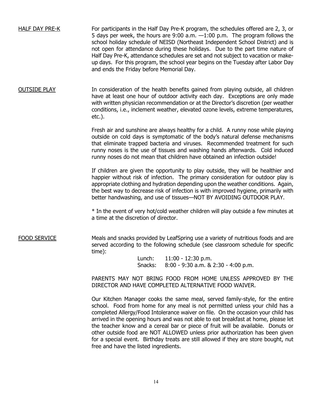HALF DAY PRE-K For participants in the Half Day Pre-K program, the schedules offered are 2, 3, or 5 days per week, the hours are 9:00 a.m. —1:00 p.m. The program follows the school holiday schedule of NEISD (Northeast Independent School District) and is not open for attendance during these holidays. Due to the part time nature of Half Day Pre-K, attendance schedules are set and not subject to vacation or makeup days. For this program, the school year begins on the Tuesday after Labor Day and ends the Friday before Memorial Day.

OUTSIDE PLAY In consideration of the health benefits gained from playing outside, all children have at least one hour of outdoor activity each day. Exceptions are only made with written physician recommendation or at the Director's discretion (per weather conditions, i.e., inclement weather, elevated ozone levels, extreme temperatures, etc.).

> Fresh air and sunshine are always healthy for a child. A runny nose while playing outside on cold days is symptomatic of the body's natural defense mechanisms that eliminate trapped bacteria and viruses. Recommended treatment for such runny noses is the use of tissues and washing hands afterwards. Cold induced runny noses do not mean that children have obtained an infection outside!

> If children are given the opportunity to play outside, they will be healthier and happier without risk of infection. The primary consideration for outdoor play is appropriate clothing and hydration depending upon the weather conditions. Again, the best way to decrease risk of infection is with improved hygiene, primarily with better handwashing, and use of tissues—NOT BY AVOIDING OUTDOOR PLAY.

> \* In the event of very hot/cold weather children will play outside a few minutes at a time at the discretion of director.

FOOD SERVICE Meals and snacks provided by LeafSpring use a variety of nutritious foods and are served according to the following schedule (see classroom schedule for specific time):

> Lunch: 11:00 - 12:30 p.m. Snacks: 8:00 - 9:30 a.m. & 2:30 - 4:00 p.m.

PARENTS MAY NOT BRING FOOD FROM HOME UNLESS APPROVED BY THE DIRECTOR AND HAVE COMPLETED ALTERNATIVE FOOD WAIVER.

Our Kitchen Manager cooks the same meal, served family-style, for the entire school. Food from home for any meal is not permitted unless your child has a completed Allergy/Food Intolerance waiver on file. On the occasion your child has arrived in the opening hours and was not able to eat breakfast at home, please let the teacher know and a cereal bar or piece of fruit will be available. Donuts or other outside food are NOT ALLOWED unless prior authorization has been given for a special event. Birthday treats are still allowed if they are store bought, nut free and have the listed ingredients.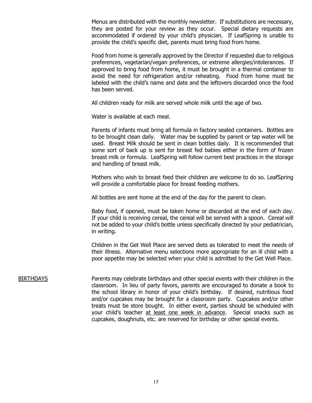Menus are distributed with the monthly newsletter. If substitutions are necessary, they are posted for your review as they occur. Special dietary requests are accommodated if ordered by your child's physician. If LeafSpring is unable to provide the child's specific diet, parents must bring food from home.

Food from home is generally approved by the Director if requested due to religious preferences, vegetarian/vegan preferences, or extreme allergies/intolerances. If approved to bring food from home, it must be brought in a thermal container to avoid the need for refrigeration and/or reheating. Food from home must be labeled with the child's name and date and the leftovers discarded once the food has been served.

All children ready for milk are served whole milk until the age of two.

Water is available at each meal.

Parents of infants must bring all formula in factory sealed containers. Bottles are to be brought clean daily. Water may be supplied by parent or tap water will be used. Breast Milk should be sent in clean bottles daily. It is recommended that some sort of back up is sent for breast fed babies either in the form of frozen breast milk or formula. LeafSpring will follow current best practices in the storage and handling of breast milk.

Mothers who wish to breast feed their children are welcome to do so. LeafSpring will provide a comfortable place for breast feeding mothers.

All bottles are sent home at the end of the day for the parent to clean.

Baby food, if opened, must be taken home or discarded at the end of each day. If your child is receiving cereal, the cereal will be served with a spoon. Cereal will not be added to your child's bottle unless specifically directed by your pediatrician, in writing.

Children in the Get Well Place are served diets as tolerated to meet the needs of their illness. Alternative menu selections more appropriate for an ill child with a poor appetite may be selected when your child is admitted to the Get Well Place.

BIRTHDAYS Parents may celebrate birthdays and other special events with their children in the classroom. In lieu of party favors, parents are encouraged to donate a book to the school library in honor of your child's birthday. If desired, nutritious food and/or cupcakes may be brought for a classroom party. Cupcakes and/or other treats must be store bought. In either event, parties should be scheduled with your child's teacher at least one week in advance. Special snacks such as cupcakes, doughnuts, etc. are reserved for birthday or other special events.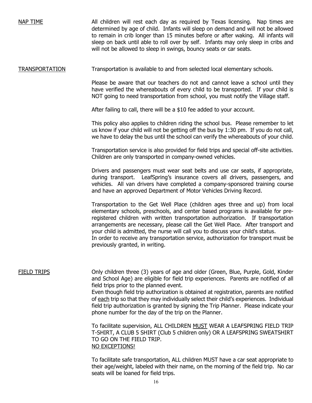NAP TIME All children will rest each day as required by Texas licensing. Nap times are determined by age of child. Infants will sleep on demand and will not be allowed to remain in crib longer than 15 minutes before or after waking. All infants will sleep on back until able to roll over by self. Infants may only sleep in cribs and will not be allowed to sleep in swings, bouncy seats or car seats.

### TRANSPORTATION Transportation is available to and from selected local elementary schools.

Please be aware that our teachers do not and cannot leave a school until they have verified the whereabouts of every child to be transported. If your child is NOT going to need transportation from school, you must notify the Village staff.

After failing to call, there will be a \$10 fee added to your account.

This policy also applies to children riding the school bus. Please remember to let us know if your child will not be getting off the bus by 1:30 pm. If you do not call, we have to delay the bus until the school can verify the whereabouts of your child.

Transportation service is also provided for field trips and special off-site activities. Children are only transported in company-owned vehicles.

Drivers and passengers must wear seat belts and use car seats, if appropriate, during transport. LeafSpring's insurance covers all drivers, passengers, and vehicles. All van drivers have completed a company-sponsored training course and have an approved Department of Motor Vehicles Driving Record.

Transportation to the Get Well Place (children ages three and up) from local elementary schools, preschools, and center based programs is available for preregistered children with written transportation authorization. If transportation arrangements are necessary, please call the Get Well Place. After transport and your child is admitted, the nurse will call you to discuss your child's status. In order to receive any transportation service, authorization for transport must be previously granted, in writing.

FIELD TRIPS Only children three (3) years of age and older (Green, Blue, Purple, Gold, Kinder and School Age) are eligible for field trip experiences. Parents are notified of all field trips prior to the planned event.

Even though field trip authorization is obtained at registration, parents are notified of each trip so that they may individually select their child's experiences. Individual field trip authorization is granted by signing the Trip Planner. Please indicate your phone number for the day of the trip on the Planner.

To facilitate supervision, ALL CHILDREN MUST WEAR A LEAFSPRING FIELD TRIP T-SHIRT, A CLUB 5 SHIRT (Club 5 children only) OR A LEAFSPRING SWEATSHIRT TO GO ON THE FIELD TRIP. NO EXCEPTIONS!

To facilitate safe transportation, ALL children MUST have a car seat appropriate to their age/weight, labeled with their name, on the morning of the field trip. No car seats will be loaned for field trips.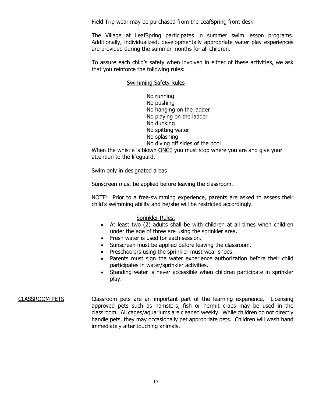Field Trip wear may be purchased from the LeafSpring front desk.

The Village at LeafSpring participates in summer swim lesson programs. Additionally, individualized, developmentally appropriate water play experiences are provided during the summer months for all children.

To assure each child's safety when involved in either of these activities, we ask that you reinforce the following rules:

#### Swimming Safety Rules

No running No pushing No hanging on the ladder No playing on the ladder No dunking No spitting water No splashing No diving off sides of the pool

When the whistle is blown ONCE you must stop where you are and give your attention to the lifeguard.

Swim only in designated areas

Sunscreen must be applied before leaving the classroom.

NOTE: Prior to a free-swimming experience, parents are asked to assess their child's swimming ability and he/she will be restricted accordingly.

#### Sprinkler Rules:

- At least two (2) adults shall be with children at all times when children under the age of three are using the sprinkler area.
- Fresh water is used for each session.
- Sunscreen must be applied before leaving the classroom.
- Preschoolers using the sprinkler must wear shoes.
- Parents must sign the water experience authorization before their child participates in water/sprinkler activities.
- Standing water is never accessible when children participate in sprinkler play.

### CLASSROOM PETS Classroom pets are an important part of the learning experience. Licensing approved pets such as hamsters, fish or hermit crabs may be used in the classroom. All cages/aquariums are cleaned weekly. While children do not directly handle pets, they may occasionally pet appropriate pets. Children will wash hand immediately after touching animals.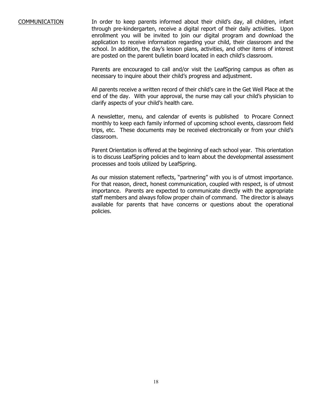COMMUNICATION In order to keep parents informed about their child's day, all children, infant through pre-kindergarten, receive a digital report of their daily activities. Upon enrollment you will be invited to join our digital program and download the application to receive information regarding your child, their classroom and the school. In addition, the day's lesson plans, activities, and other items of interest are posted on the parent bulletin board located in each child's classroom.

> Parents are encouraged to call and/or visit the LeafSpring campus as often as necessary to inquire about their child's progress and adjustment.

> All parents receive a written record of their child's care in the Get Well Place at the end of the day. With your approval, the nurse may call your child's physician to clarify aspects of your child's health care.

> A newsletter, menu, and calendar of events is published to Procare Connect monthly to keep each family informed of upcoming school events, classroom field trips, etc. These documents may be received electronically or from your child's classroom.

> Parent Orientation is offered at the beginning of each school year. This orientation is to discuss LeafSpring policies and to learn about the developmental assessment processes and tools utilized by LeafSpring.

> As our mission statement reflects, "partnering" with you is of utmost importance. For that reason, direct, honest communication, coupled with respect, is of utmost importance. Parents are expected to communicate directly with the appropriate staff members and always follow proper chain of command. The director is always available for parents that have concerns or questions about the operational policies.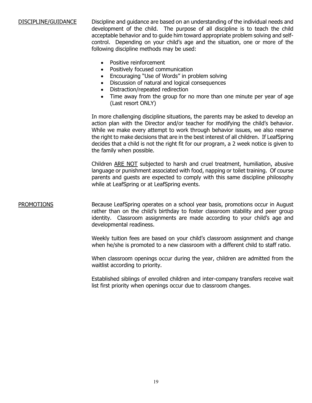### DISCIPLINE/GUIDANCE Discipline and guidance are based on an understanding of the individual needs and development of the child. The purpose of all discipline is to teach the child acceptable behavior and to guide him toward appropriate problem solving and selfcontrol. Depending on your child's age and the situation, one or more of the following discipline methods may be used:

- Positive reinforcement
- Positively focused communication
- Encouraging "Use of Words" in problem solving
- Discussion of natural and logical consequences
- Distraction/repeated redirection
- Time away from the group for no more than one minute per year of age (Last resort ONLY)

In more challenging discipline situations, the parents may be asked to develop an action plan with the Director and/or teacher for modifying the child's behavior. While we make every attempt to work through behavior issues, we also reserve the right to make decisions that are in the best interest of all children. If LeafSpring decides that a child is not the right fit for our program, a 2 week notice is given to the family when possible.

Children ARE NOT subjected to harsh and cruel treatment, humiliation, abusive language or punishment associated with food, napping or toilet training. Of course parents and guests are expected to comply with this same discipline philosophy while at LeafSpring or at LeafSpring events.

PROMOTIONS Because LeafSpring operates on a school year basis, promotions occur in August rather than on the child's birthday to foster classroom stability and peer group identity. Classroom assignments are made according to your child's age and developmental readiness.

> Weekly tuition fees are based on your child's classroom assignment and change when he/she is promoted to a new classroom with a different child to staff ratio.

> When classroom openings occur during the year, children are admitted from the waitlist according to priority.

> Established siblings of enrolled children and inter-company transfers receive wait list first priority when openings occur due to classroom changes.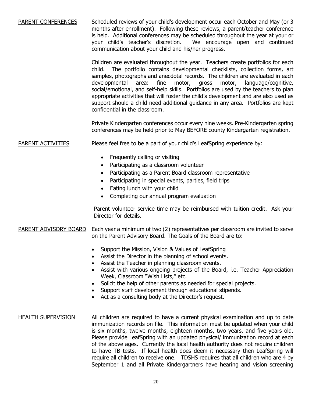### PARENT CONFERENCES Scheduled reviews of your child's development occur each October and May (or 3 months after enrollment). Following these reviews, a parent/teacher conference is held. Additional conferences may be scheduled throughout the year at your or<br>your child's teacher's discretion. We encourage open and continued We encourage open and continued communication about your child and his/her progress.

Children are evaluated throughout the year. Teachers create portfolios for each child. The portfolio contains developmental checklists, collection forms, art samples, photographs and anecdotal records. The children are evaluated in each developmental area: fine motor, gross motor, language/cognitive, social/emotional, and self-help skills. Portfolios are used by the teachers to plan appropriate activities that will foster the child's development and are also used as support should a child need additional guidance in any area. Portfolios are kept confidential in the classroom.

Private Kindergarten conferences occur every nine weeks. Pre-Kindergarten spring conferences may be held prior to May BEFORE county Kindergarten registration.

PARENT ACTIVITIES Please feel free to be a part of your child's LeafSpring experience by:

- Frequently calling or visiting
- Participating as a classroom volunteer
- Participating as a Parent Board classroom representative
- Participating in special events, parties, field trips
- Eating lunch with your child
- Completing our annual program evaluation

Parent volunteer service time may be reimbursed with tuition credit. Ask your Director for details.

PARENT ADVISORY BOARD Each year a minimum of two (2) representatives per classroom are invited to serve on the Parent Advisory Board. The Goals of the Board are to:

- Support the Mission, Vision & Values of LeafSpring
- Assist the Director in the planning of school events.
- Assist the Teacher in planning classroom events.
- Assist with various ongoing projects of the Board, i.e. Teacher Appreciation Week, Classroom "Wish Lists," etc.
- Solicit the help of other parents as needed for special projects.
- Support staff development through educational stipends.
- Act as a consulting body at the Director's request.
- HEALTH SUPERVISION All children are required to have a current physical examination and up to date immunization records on file. This information must be updated when your child is six months, twelve months, eighteen months, two years, and five years old. Please provide LeafSpring with an updated physical/ immunization record at each of the above ages. Currently the local health authority does not require children to have TB tests. If local health does deem it necessary then LeafSpring will require all children to receive one. TDSHS requires that all children who are 4 by September 1 and all Private Kindergartners have hearing and vision screening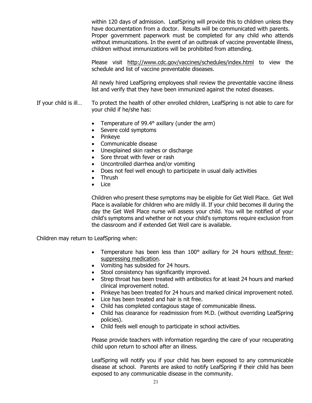within 120 days of admission. LeafSpring will provide this to children unless they have documentation from a doctor. Results will be communicated with parents. Proper government paperwork must be completed for any child who attends without immunizations. In the event of an outbreak of vaccine preventable illness, children without immunizations will be prohibited from attending.

Please visit <http://www.cdc.gov/vaccines/schedules/index.html> to view the schedule and list of vaccine preventable diseases.

All newly hired LeafSpring employees shall review the preventable vaccine illness list and verify that they have been immunized against the noted diseases.

- If your child is ill… To protect the health of other enrolled children, LeafSpring is not able to care for your child if he/she has:
	- Temperature of 99.4° axillary (under the arm)
	- Severe cold symptoms
	- Pinkeye
	- Communicable disease
	- Unexplained skin rashes or discharge
	- Sore throat with fever or rash
	- Uncontrolled diarrhea and/or vomiting
	- Does not feel well enough to participate in usual daily activities
	- Thrush
	- Lice

Children who present these symptoms may be eligible for Get Well Place. Get Well Place is available for children who are mildly ill. If your child becomes ill during the day the Get Well Place nurse will assess your child. You will be notified of your child's symptoms and whether or not your child's symptoms require exclusion from the classroom and if extended Get Well care is available.

Children may return to LeafSpring when:

- Temperature has been less than 100° axillary for 24 hours without feversuppressing medication.
- Vomiting has subsided for 24 hours.
- Stool consistency has significantly improved.
- Strep throat has been treated with antibiotics for at least 24 hours and marked clinical improvement noted.
- Pinkeye has been treated for 24 hours and marked clinical improvement noted.
- Lice has been treated and hair is nit free.
- Child has completed contagious stage of communicable illness.
- Child has clearance for readmission from M.D. (without overriding LeafSpring policies).
- Child feels well enough to participate in school activities.

Please provide teachers with information regarding the care of your recuperating child upon return to school after an illness.

LeafSpring will notify you if your child has been exposed to any communicable disease at school. Parents are asked to notify LeafSpring if their child has been exposed to any communicable disease in the community.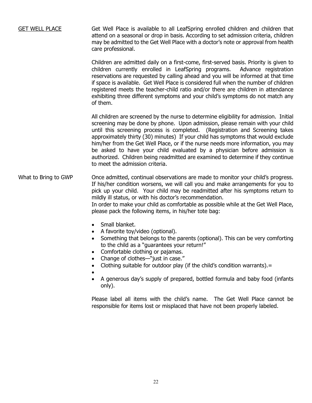GET WELL PLACE Get Well Place is available to all LeafSpring enrolled children and children that attend on a seasonal or drop in basis. According to set admission criteria, children may be admitted to the Get Well Place with a doctor's note or approval from health care professional.

> Children are admitted daily on a first-come, first-served basis. Priority is given to children currently enrolled in LeafSpring programs. Advance registration reservations are requested by calling ahead and you will be informed at that time if space is available. Get Well Place is considered full when the number of children registered meets the teacher-child ratio and/or there are children in attendance exhibiting three different symptoms and your child's symptoms do not match any of them.

> All children are screened by the nurse to determine eligibility for admission. Initial screening may be done by phone. Upon admission, please remain with your child until this screening process is completed. (Registration and Screening takes approximately thirty (30) minutes) If your child has symptoms that would exclude him/her from the Get Well Place, or if the nurse needs more information, you may be asked to have your child evaluated by a physician before admission is authorized. Children being readmitted are examined to determine if they continue to meet the admission criteria.

- What to Bring to GWP Once admitted, continual observations are made to monitor your child's progress. If his/her condition worsens, we will call you and make arrangements for you to pick up your child. Your child may be readmitted after his symptoms return to mildly ill status, or with his doctor's recommendation. In order to make your child as comfortable as possible while at the Get Well Place, please pack the following items, in his/her tote bag:
	- Small blanket.
	- A favorite toy/video (optional).
	- Something that belongs to the parents (optional). This can be very comforting to the child as a "guarantees your return!"
	- Comfortable clothing or pajamas.
	- Change of clothes—"just in case."
	- Clothing suitable for outdoor play (if the child's condition warrants).=
	- •
	- A generous day's supply of prepared, bottled formula and baby food (infants only).

Please label all items with the child's name. The Get Well Place cannot be responsible for items lost or misplaced that have not been properly labeled.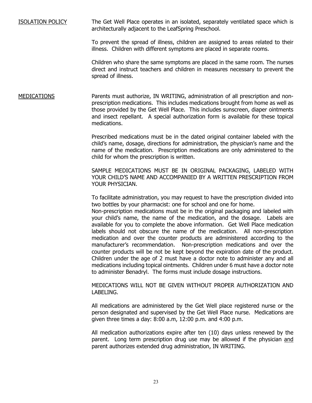ISOLATION POLICY The Get Well Place operates in an isolated, separately ventilated space which is architecturally adjacent to the LeafSpring Preschool.

> To prevent the spread of illness, children are assigned to areas related to their illness. Children with different symptoms are placed in separate rooms.

> Children who share the same symptoms are placed in the same room. The nurses direct and instruct teachers and children in measures necessary to prevent the spread of illness.

MEDICATIONS Parents must authorize, IN WRITING, administration of all prescription and nonprescription medications. This includes medications brought from home as well as those provided by the Get Well Place. This includes sunscreen, diaper ointments and insect repellant. A special authorization form is available for these topical medications.

> Prescribed medications must be in the dated original container labeled with the child's name, dosage, directions for administration, the physician's name and the name of the medication. Prescription medications are only administered to the child for whom the prescription is written.

> SAMPLE MEDICATIONS MUST BE IN ORIGINAL PACKAGING, LABELED WITH YOUR CHILD'S NAME AND ACCOMPANIED BY A WRITTEN PRESCRIPTION FROM YOUR PHYSICIAN.

> To facilitate administration, you may request to have the prescription divided into two bottles by your pharmacist: one for school and one for home.

> Non-prescription medications must be in the original packaging and labeled with your child's name, the name of the medication, and the dosage. Labels are available for you to complete the above information. Get Well Place medication labels should not obscure the name of the medication. All non-prescription medication and over the counter products are administered according to the manufacturer's recommendation. Non-prescription medications and over the counter products will be not be kept beyond the expiration date of the product. Children under the age of 2 must have a doctor note to administer any and all medications including topical ointments. Children under 6 must have a doctor note to administer Benadryl. The forms must include dosage instructions.

> MEDICATIONS WILL NOT BE GIVEN WITHOUT PROPER AUTHORIZATION AND LABELING.

> All medications are administered by the Get Well place registered nurse or the person designated and supervised by the Get Well Place nurse. Medications are given three times a day: 8:00 a.m, 12:00 p.m. and 4:00 p.m.

> All medication authorizations expire after ten (10) days unless renewed by the parent. Long term prescription drug use may be allowed if the physician and parent authorizes extended drug administration, IN WRITING.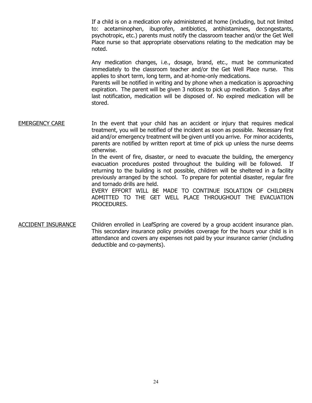If a child is on a medication only administered at home (including, but not limited to: acetaminophen, ibuprofen, antibiotics, antihistamines, decongestants, psychotropic, etc.) parents must notify the classroom teacher and/or the Get Well Place nurse so that appropriate observations relating to the medication may be noted.

Any medication changes, i.e., dosage, brand, etc., must be communicated immediately to the classroom teacher and/or the Get Well Place nurse. This applies to short term, long term, and at-home-only medications.

Parents will be notified in writing and by phone when a medication is approaching expiration. The parent will be given 3 notices to pick up medication. 5 days after last notification, medication will be disposed of. No expired medication will be stored.

EMERGENCY CARE In the event that your child has an accident or injury that requires medical treatment, you will be notified of the incident as soon as possible. Necessary first aid and/or emergency treatment will be given until you arrive. For minor accidents, parents are notified by written report at time of pick up unless the nurse deems otherwise. In the event of fire, disaster, or need to evacuate the building, the emergency

evacuation procedures posted throughout the building will be followed. If returning to the building is not possible, children will be sheltered in a facility previously arranged by the school. To prepare for potential disaster, regular fire and tornado drills are held.

EVERY EFFORT WILL BE MADE TO CONTINUE ISOLATION OF CHILDREN ADMITTED TO THE GET WELL PLACE THROUGHOUT THE EVACUATION PROCEDURES.

ACCIDENT INSURANCE Children enrolled in LeafSpring are covered by a group accident insurance plan. This secondary insurance policy provides coverage for the hours your child is in attendance and covers any expenses not paid by your insurance carrier (including deductible and co-payments).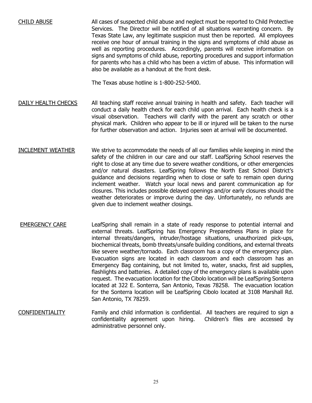CHILD ABUSE All cases of suspected child abuse and neglect must be reported to Child Protective Services. The Director will be notified of all situations warranting concern. By Texas State Law, any legitimate suspicion must then be reported. All employees receive one hour of annual training in the signs and symptoms of child abuse as well as reporting procedures. Accordingly, parents will receive information on signs and symptoms of child abuse, reporting procedures and support information for parents who has a child who has been a victim of abuse. This information will also be available as a handout at the front desk.

The Texas abuse hotline is 1-800-252-5400.

- DAILY HEALTH CHECKS All teaching staff receive annual training in health and safety. Each teacher will conduct a daily health check for each child upon arrival. Each health check is a visual observation. Teachers will clarify with the parent any scratch or other physical mark. Children who appear to be ill or injured will be taken to the nurse for further observation and action. Injuries seen at arrival will be documented.
- INCLEMENT WEATHER We strive to accommodate the needs of all our families while keeping in mind the safety of the children in our care and our staff. LeafSpring School reserves the right to close at any time due to severe weather conditions, or other emergencies and/or natural disasters. LeafSpring follows the North East School District's guidance and decisions regarding when to close or safe to remain open during inclement weather. Watch your local news and parent communication ap for closures. This includes possible delayed openings and/or early closures should the weather deteriorates or improve during the day. Unfortunately, no refunds are given due to inclement weather closings.
- EMERGENCY CARE LeafSpring shall remain in a state of ready response to potential internal and external threats. LeafSpring has Emergency Preparedness Plans in place for internal threats/dangers, intruder/hostage situations, unauthorized pick-ups, biochemical threats, bomb threats/unsafe building conditions, and external threats like severe weather/tornado. Each classroom has a copy of the emergency plan. Evacuation signs are located in each classroom and each classroom has an Emergency Bag containing, but not limited to, water, snacks, first aid supplies, flashlights and batteries. A detailed copy of the emergency plans is available upon request. The evacuation location for the Cibolo location will be LeafSpring Sonterra located at 322 E. Sonterra, San Antonio, Texas 78258. The evacuation location for the Sonterra location will be LeafSpring Cibolo located at 3108 Marshall Rd. San Antonio, TX 78259.
- CONFIDENTIALITY Family and child information is confidential. All teachers are required to sign a<br>confidentiality agreement upon hiring. Children's files are accessed by confidentiality agreement upon hiring. administrative personnel only.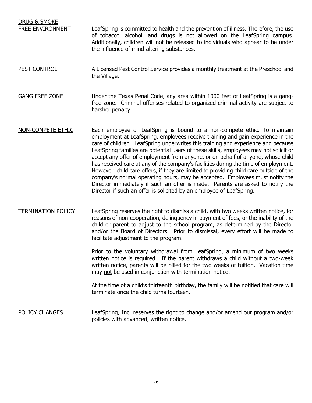DRUG & SMOKE FREE ENVIRONMENT LeafSpring is committed to health and the prevention of illness. Therefore, the use of tobacco, alcohol, and drugs is not allowed on the LeafSpring campus. Additionally, children will not be released to individuals who appear to be under the influence of mind-altering substances.

- PEST CONTROL **A** Licensed Pest Control Service provides a monthly treatment at the Preschool and the Village.
- GANG FREE ZONE Under the Texas Penal Code, any area within 1000 feet of LeafSpring is a gangfree zone. Criminal offenses related to organized criminal activity are subject to harsher penalty.
- NON-COMPETE ETHIC Each employee of LeafSpring is bound to a non-compete ethic. To maintain employment at LeafSpring, employees receive training and gain experience in the care of children. LeafSpring underwrites this training and experience and because LeafSpring families are potential users of these skills, employees may not solicit or accept any offer of employment from anyone, or on behalf of anyone, whose child has received care at any of the company's facilities during the time of employment. However, child care offers, if they are limited to providing child care outside of the company's normal operating hours, may be accepted. Employees must notify the Director immediately if such an offer is made. Parents are asked to notify the Director if such an offer is solicited by an employee of LeafSpring.
- TERMINATION POLICY LeafSpring reserves the right to dismiss a child, with two weeks written notice, for reasons of non-cooperation, delinquency in payment of fees, or the inability of the child or parent to adjust to the school program, as determined by the Director and/or the Board of Directors. Prior to dismissal, every effort will be made to facilitate adjustment to the program.

Prior to the voluntary withdrawal from LeafSpring, a minimum of two weeks written notice is required. If the parent withdraws a child without a two-week written notice, parents will be billed for the two weeks of tuition. Vacation time may not be used in conjunction with termination notice.

At the time of a child's thirteenth birthday, the family will be notified that care will terminate once the child turns fourteen.

POLICY CHANGES LeafSpring, Inc. reserves the right to change and/or amend our program and/or policies with advanced, written notice.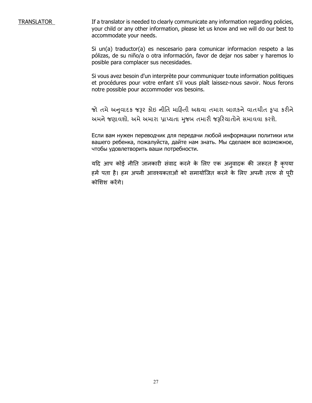TRANSLATOR If a translator is needed to clearly communicate any information regarding policies, your child or any other information, please let us know and we will do our best to accommodate your needs.

> Si un(a) traductor(a) es nescesario para comunicar informacion respeto a las pólizas, de su niño/a o otra información, favor de dejar nos saber y haremos lo posible para complacer sus necesidades.

> Si vous avez besoin d'un interprète pour communiquer toute information politiques et procédures pour votre enfant s'il vous plaît laissez-nous savoir. Nous ferons notre possible pour accommoder vos besoins.

> જો તમે અનુવાદક જરૂર કોઇ નીતિ માહિતી અથવા તમારા બાળકને વાતચીત કૃપા કરીને અમને જણાવશો. અમે અમારા પ્રાપ્યતા મુજબ તમારી જરૂરિયાતોને સમાવવા કરશે.

> Если вам нужен переводчик для передачи любой информации политики или вашего ребенка, пожалуйста, дайте нам знать. Мы сделаем все возможное, чтобы удовлетворить ваши потребности.

> यदि आप कोई नीति जानकारी सवाद करने के लिए एक अनुवादक की जरूरत है कृपया हमें पता है। हम अपनी आवश्यकताओं को समायोजित करने के लिए अपनी तरफ से पूरी कोशिश करेंगे।